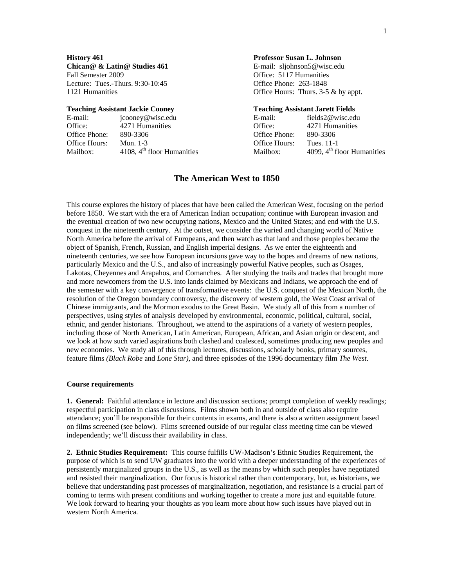**Chican@ & Latin@ Studies 461** E-mail: sljohnson5@wisc.edu Fall Semester 2009 **Fall Semester 2009** CHI Semester 2009 **Office:** 5117 Humanities Lecture: Tues.-Thurs. 9:30-10:45 Office Phone: 263-1848

| E-mail:       | jcooney@wisc.edu             | E-mail:       | fields $2@$ wisc.edu         |
|---------------|------------------------------|---------------|------------------------------|
| Office:       | 4271 Humanities              | Office:       | 4271 Humanities              |
| Office Phone: | 890-3306                     | Office Phone: | 890-3306                     |
| Office Hours: | Mon. $1-3$                   | Office Hours: | Tues. 11-1                   |
| Mailbox:      | 4108, $4th$ floor Humanities | Mailbox:      | 4099, $4th$ floor Humanities |

#### **History 461 Professor Susan L. Johnson**

1121 Humanities **Office Hours:** Thurs. 3-5 & by appt.

#### **Teaching Assistant Jackie Cooney Teaching Assistant Jarett Fields**

| E-mail:              | fields $2@$ wisc.edu         |
|----------------------|------------------------------|
| <b>Office:</b>       | 4271 Humanities              |
| Office Phone:        | 890-3306                     |
| <b>Office Hours:</b> | Tues. 11-1                   |
| Mailbox:             | 4099, $4th$ floor Humanities |
|                      |                              |

## **The American West to 1850**

This course explores the history of places that have been called the American West, focusing on the period before 1850. We start with the era of American Indian occupation; continue with European invasion and the eventual creation of two new occupying nations, Mexico and the United States; and end with the U.S. conquest in the nineteenth century. At the outset, we consider the varied and changing world of Native North America before the arrival of Europeans, and then watch as that land and those peoples became the object of Spanish, French, Russian, and English imperial designs. As we enter the eighteenth and nineteenth centuries, we see how European incursions gave way to the hopes and dreams of new nations, particularly Mexico and the U.S., and also of increasingly powerful Native peoples, such as Osages, Lakotas, Cheyennes and Arapahos, and Comanches. After studying the trails and trades that brought more and more newcomers from the U.S. into lands claimed by Mexicans and Indians, we approach the end of the semester with a key convergence of transformative events: the U.S. conquest of the Mexican North, the resolution of the Oregon boundary controversy, the discovery of western gold, the West Coast arrival of Chinese immigrants, and the Mormon exodus to the Great Basin. We study all of this from a number of perspectives, using styles of analysis developed by environmental, economic, political, cultural, social, ethnic, and gender historians. Throughout, we attend to the aspirations of a variety of western peoples, including those of North American, Latin American, European, African, and Asian origin or descent, and we look at how such varied aspirations both clashed and coalesced, sometimes producing new peoples and new economies. We study all of this through lectures, discussions, scholarly books, primary sources, feature films *(Black Robe* and *Lone Star)*, and three episodes of the 1996 documentary film *The West*.

#### **Course requirements**

**1. General:** Faithful attendance in lecture and discussion sections; prompt completion of weekly readings; respectful participation in class discussions. Films shown both in and outside of class also require attendance; you'll be responsible for their contents in exams, and there is also a written assignment based on films screened (see below). Films screened outside of our regular class meeting time can be viewed independently; we'll discuss their availability in class.

**2. Ethnic Studies Requirement:** This course fulfills UW-Madison's Ethnic Studies Requirement, the purpose of which is to send UW graduates into the world with a deeper understanding of the experiences of persistently marginalized groups in the U.S., as well as the means by which such peoples have negotiated and resisted their marginalization. Our focus is historical rather than contemporary, but, as historians, we believe that understanding past processes of marginalization, negotiation, and resistance is a crucial part of coming to terms with present conditions and working together to create a more just and equitable future. We look forward to hearing your thoughts as you learn more about how such issues have played out in western North America.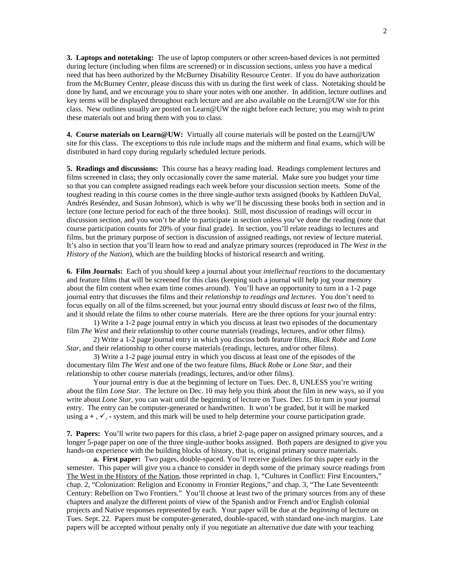**3. Laptops and notetaking:** The use of laptop computers or other screen-based devices is not permitted during lecture (including when films are screened) or in discussion sections, unless you have a medical need that has been authorized by the McBurney Disability Resource Center. If you do have authorization from the McBurney Center, please discuss this with us during the first week of class. Notetaking should be done by hand, and we encourage you to share your notes with one another. In addition, lecture outlines and key terms will be displayed throughout each lecture and are also available on the Learn@UW site for this class. New outlines usually are posted on Learn@UW the night before each lecture; you may wish to print these materials out and bring them with you to class.

**4. Course materials on Learn@UW:** Virtually all course materials will be posted on the Learn@UW site for this class. The exceptions to this rule include maps and the midterm and final exams, which will be distributed in hard copy during regularly scheduled lecture periods.

**5. Readings and discussions:** This course has a heavy reading load. Readings complement lectures and films screened in class; they only occasionally cover the same material. Make sure you budget your time so that you can complete assigned readings each week before your discussion section meets. Some of the toughest reading in this course comes in the three single-author texts assigned (books by Kathleen DuVal, [Andrés Reséndez,](http://www.amazon.com/exec/obidos/search-handle-url/index=books&field-author-exact=Andr%25E9s%20Res%25E9ndez&rank=-relevance%252C%252Bavailability%252C-daterank/102-4488320-3288966) and Susan Johnson), which is why we'll be discussing these books both in section and in lecture (one lecture period for each of the three books). Still, most discussion of readings will occur in discussion section, and you won't be able to participate in section unless you've done the reading (note that course participation counts for 20% of your final grade). In section, you'll relate readings to lectures and films, but the primary purpose of section is discussion of assigned readings, not review of lecture material. It's also in section that you'll learn how to read and analyze primary sources (reproduced in *The West in the History of the Nation*), which are the building blocks of historical research and writing.

**6. Film Journals:** Each of you should keep a journal about your *intellectual reactions* to the documentary and feature films that will be screened for this class (keeping such a journal will help jog your memory about the film content when exam time comes around). You'll have an opportunity to turn in a 1-2 page journal entry that discusses the films and their *relationship to readings and lectures*. You don't need to focus equally on all of the films screened, but your journal entry should discuss *at least two* of the films, and it should relate the films to other course materials. Here are the three options for your journal entry:

1) Write a 1-2 page journal entry in which you discuss at least two episodes of the documentary film *The West* and their relationship to other course materials (readings, lectures, and/or other films).

2) Write a 1-2 page journal entry in which you discuss both feature films, *Black Robe* and *Lone Star*, and their relationship to other course materials (readings, lectures, and/or other films).

3) Write a 1-2 page journal entry in which you discuss at least one of the episodes of the documentary film *The West* and one of the two feature films, *Black Robe* or *Lone Star,* and their relationship to other course materials (readings, lectures, and/or other films).

Your journal entry is due at the beginning of lecture on Tues. Dec. 8, UNLESS you're writing about the film *Lone Star.* The lecture on Dec. 10 may help you think about the film in new ways, so if you write about *Lone Star,* you can wait until the beginning of lecture on Tues. Dec. 15 to turn in your journal entry.The entry can be computer-generated or handwritten. It won't be graded, but it will be marked using  $a +$ ,  $\checkmark$ ,  $\checkmark$ , system, and this mark will be used to help determine your course participation grade.

**7. Papers:** You'll write two papers for this class, a brief 2-page paper on assigned primary sources, and a longer 5-page paper on one of the three single-author books assigned. Both papers are designed to give you hands-on experience with the building blocks of history, that is, original primary source materials.

**a. First paper:** Two pages, double-spaced. You'll receive guidelines for this paper early in the semester. This paper will give you a chance to consider in depth some of the primary source readings from The West in the History of the Nation, those reprinted in chap. 1, "Cultures in Conflict: First Encounters," chap. 2, "Colonization: Religion and Economy in Frontier Regions," and chap. 3, "The Late Seventeenth Century: Rebellion on Two Frontiers." You'll choose at least two of the primary sources from any of these chapters and analyze the different points of view of the Spanish and/or French and/or English colonial projects and Native responses represented by each. Your paper will be due at the *beginning* of lecture on Tues. Sept. 22.Papers must be computer-generated, double-spaced, with standard one-inch margins. Late papers will be accepted without penalty only if you negotiate an alternative due date with your teaching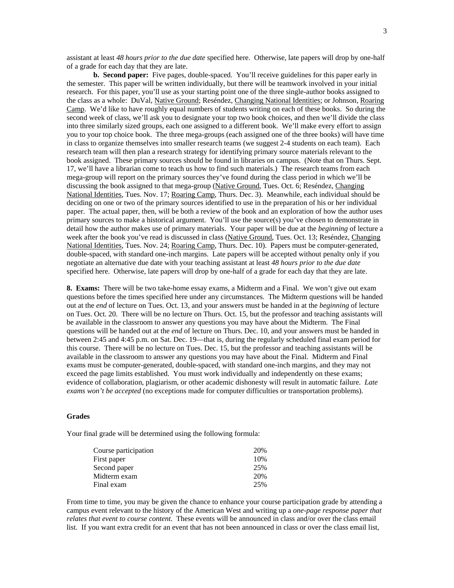assistant at least *48 hours prior to the due date* specified here. Otherwise, late papers will drop by one-half of a grade for each day that they are late.

**b. Second paper:** Five pages, double-spaced. You'll receive guidelines for this paper early in the semester. This paper will be written individually, but there will be teamwork involved in your initial research. For this paper, you'll use as your starting point one of the three single-author books assigned to the class as a whole: DuVal, Native Ground; Reséndez, Changing National Identities; or Johnson, Roaring Camp. We'd like to have roughly equal numbers of students writing on each of these books. So during the second week of class, we'll ask you to designate your top two book choices, and then we'll divide the class into three similarly sized groups, each one assigned to a different book. We'll make every effort to assign you to your top choice book. The three mega-groups (each assigned one of the three books) will have time in class to organize themselves into smaller research teams (we suggest 2-4 students on each team). Each research team will then plan a research strategy for identifying primary source materials relevant to the book assigned. These primary sources should be found in libraries on campus. (Note that on Thurs. Sept. 17, we'll have a librarian come to teach us how to find such materials.) The research teams from each mega-group will report on the primary sources they've found during the class period in which we'll be discussing the book assigned to that mega-group (Native Ground, Tues. Oct. 6; Reséndez, Changing National Identities, Tues. Nov. 17; Roaring Camp, Thurs. Dec. 3). Meanwhile, each individual should be deciding on one or two of the primary sources identified to use in the preparation of his or her individual paper. The actual paper, then, will be both a review of the book and an exploration of how the author uses primary sources to make a historical argument. You'll use the source(s) you've chosen to demonstrate in detail how the author makes use of primary materials. Your paper will be due at the *beginning* of lecture a week after the book you've read is discussed in class (Native Ground, Tues. Oct. 13; Reséndez, Changing National Identities, Tues. Nov. 24; Roaring Camp, Thurs. Dec. 10). Papers must be computer-generated, double-spaced, with standard one-inch margins. Late papers will be accepted without penalty only if you negotiate an alternative due date with your teaching assistant at least *48 hours prior to the due date* specified here. Otherwise, late papers will drop by one-half of a grade for each day that they are late.

**8. Exams:** There will be two take-home essay exams, a Midterm and a Final. We won't give out exam questions before the times specified here under any circumstances. The Midterm questions will be handed out at the *end* of lecture on Tues. Oct. 13, and your answers must be handed in at the *beginning* of lecture on Tues. Oct. 20. There will be no lecture on Thurs. Oct. 15, but the professor and teaching assistants will be available in the classroom to answer any questions you may have about the Midterm. The Final questions will be handed out at the *end* of lecture on Thurs. Dec. 10, and your answers must be handed in between 2:45 and 4:45 p.m. on Sat. Dec. 19—that is, during the regularly scheduled final exam period for this course. There will be no lecture on Tues. Dec. 15, but the professor and teaching assistants will be available in the classroom to answer any questions you may have about the Final. Midterm and Final exams must be computer-generated, double-spaced, with standard one-inch margins, and they may not exceed the page limits established. You must work individually and independently on these exams; evidence of collaboration, plagiarism, or other academic dishonesty will result in automatic failure. *Late exams won't be accepted* (no exceptions made for computer difficulties or transportation problems).

#### **Grades**

Your final grade will be determined using the following formula:

| Course participation | 20% |
|----------------------|-----|
| First paper          | 10% |
| Second paper         | 25% |
| Midterm exam         | 20% |
| Final exam           | 25% |

From time to time, you may be given the chance to enhance your course participation grade by attending a campus event relevant to the history of the American West and writing up a *one-page response paper that relates that event to course content*. These events will be announced in class and/or over the class email list. If you want extra credit for an event that has not been announced in class or over the class email list,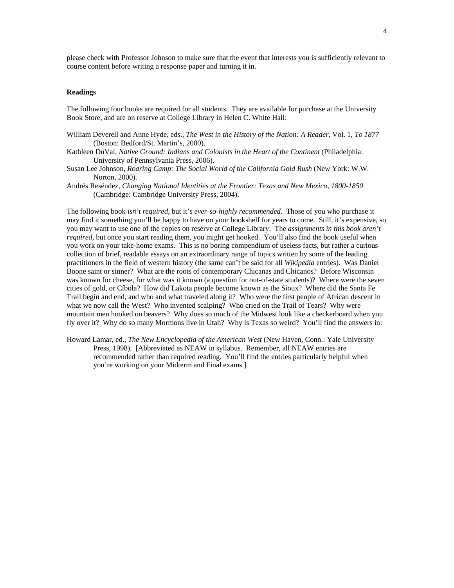please check with Professor Johnson to make sure that the event that interests you is sufficiently relevant to course content before writing a response paper and turning it in.

#### **Readings**

The following four books are required for all students. They are available for purchase at the University Book Store, and are on reserve at College Library in Helen C. White Hall:

- William Deverell and Anne Hyde, eds., *The West in the History of the Nation: A Reader*, Vol. 1, *To 1877* (Boston: Bedford/St. Martin's, 2000).
- Kathleen DuVal, *Native Ground: Indians and Colonists in the Heart of the Continent* (Philadelphia: University of Pennsylvania Press, 2006).
- Susan Lee Johnson, *Roaring Camp: The Social World of the California Gold Rush* (New York: W.W. Norton, 2000).
- [Andrés Reséndez,](http://www.amazon.com/exec/obidos/search-handle-url/index=books&field-author-exact=Andr%E9s%20Res%E9ndez&rank=-relevance%2C%2Bavailability%2C-daterank/102-4488320-3288966) *Changing National Identities at the Frontier: Texas and New Mexico, 1800-1850* (Cambridge: Cambridge University Press, 2004).

The following book *isn't required*, but it's *ever-so-highly recommended*. Those of you who purchase it may find it something you'll be happy to have on your bookshelf for years to come. Still, it's expensive, so you may want to use one of the copies on reserve at College Library. The *assignments in this book aren't required*, but once you start reading them, you might get hooked. You'll also find the book useful when you work on your take-home exams. This is no boring compendium of useless facts, but rather a curious collection of brief, readable essays on an extraordinary range of topics written by some of the leading practitioners in the field of western history (the same can't be said for all *Wikipedia* entries). Was Daniel Boone saint or sinner? What are the roots of contemporary Chicanas and Chicanos? Before Wisconsin was known for cheese, for what was it known (a question for out-of-state students)? Where were the seven cities of gold, or Cíbola? How did Lakota people become known as the Sioux? Where did the Santa Fe Trail begin and end, and who and what traveled along it? Who were the first people of African descent in what we now call the West? Who invented scalping? Who cried on the Trail of Tears? Why were mountain men hooked on beavers? Why does so much of the Midwest look like a checkerboard when you fly over it? Why do so many Mormons live in Utah? Why is Texas so weird? You'll find the answers in:

Howard Lamar, ed., *The New Encyclopedia of the American West* (New Haven, Conn.: Yale University Press, 1998). [Abbreviated as NEAW in syllabus. Remember, all NEAW entries are recommended rather than required reading. You'll find the entries particularly helpful when you're working on your Midterm and Final exams.]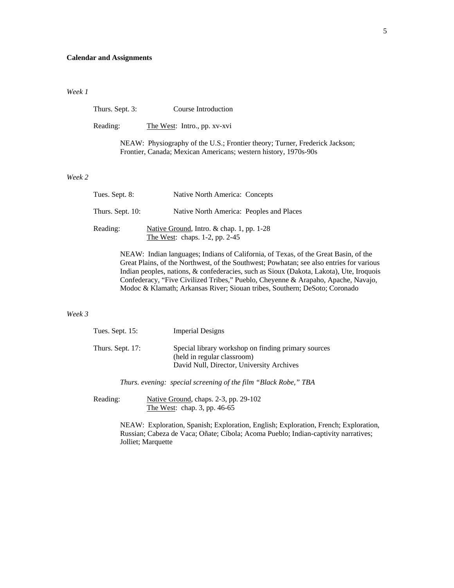## **Calendar and Assignments**

#### *Week 1*

Thurs. Sept. 3: Course Introduction

Reading: The West: Intro., pp. xv-xvi

NEAW: Physiography of the U.S.; Frontier theory; Turner, Frederick Jackson; Frontier, Canada; Mexican Americans; western history, 1970s-90s

#### *Week 2*

| Tues. Sept. 8:   | Native North America: Concepts                                                      |
|------------------|-------------------------------------------------------------------------------------|
| Thurs. Sept. 10: | Native North America: Peoples and Places                                            |
| Reading:         | Native Ground, Intro. $\&$ chap. 1, pp. 1-28<br>The West: chaps. $1-2$ , pp. $2-45$ |

NEAW: Indian languages; Indians of California, of Texas, of the Great Basin, of the Great Plains, of the Northwest, of the Southwest; Powhatan; see also entries for various Indian peoples, nations, & confederacies, such as Sioux (Dakota, Lakota), Ute, Iroquois Confederacy, "Five Civilized Tribes," Pueblo, Cheyenne & Arapaho, Apache, Navajo, Modoc & Klamath; Arkansas River; Siouan tribes, Southern; DeSoto; Coronado

#### *Week 3*

| Tues. Sept. $15$ : | <b>Imperial Designs</b>                                                                                                         |
|--------------------|---------------------------------------------------------------------------------------------------------------------------------|
| Thurs. Sept. 17:   | Special library workshop on finding primary sources<br>(held in regular classroom)<br>David Null, Director, University Archives |

 *Thurs. evening: special screening of the film "Black Robe," TBA* 

Reading: Native Ground, chaps. 2-3, pp. 29-102 The West: chap. 3, pp. 46-65

> NEAW: Exploration, Spanish; Exploration, English; Exploration, French; Exploration, Russian; Cabeza de Vaca; Oñate; Cíbola; Acoma Pueblo; Indian-captivity narratives; Jolliet; Marquette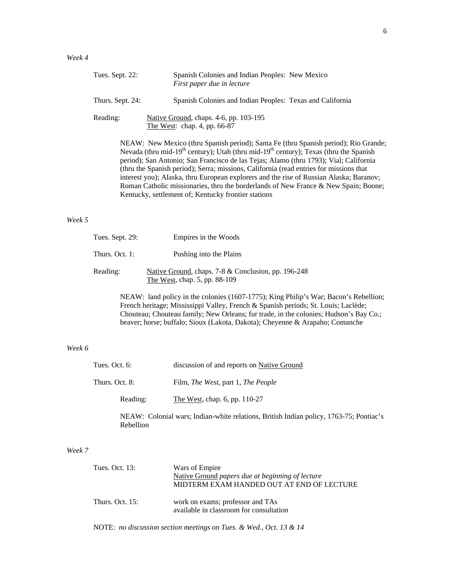| Tues. Sept. 22:  | Spanish Colonies and Indian Peoples: New Mexico<br>First paper due in lecture                                                                                                                                                                                                                                                                                                                                                                                                                                                                                             |
|------------------|---------------------------------------------------------------------------------------------------------------------------------------------------------------------------------------------------------------------------------------------------------------------------------------------------------------------------------------------------------------------------------------------------------------------------------------------------------------------------------------------------------------------------------------------------------------------------|
| Thurs. Sept. 24: | Spanish Colonies and Indian Peoples: Texas and California                                                                                                                                                                                                                                                                                                                                                                                                                                                                                                                 |
| Reading:         | Native Ground, chaps. 4-6, pp. 103-195<br>The West: chap. 4, pp. 66-87                                                                                                                                                                                                                                                                                                                                                                                                                                                                                                    |
|                  | NEAW: New Mexico (thru Spanish period); Santa Fe (thru Spanish period); Rio Grande;<br>Nevada (thru mid-19 <sup>th</sup> century); Utah (thru mid-19 <sup>th</sup> century); Texas (thru the Spanish<br>period); San Antonio; San Francisco de las Tejas; Alamo (thru 1793); Vial; California<br>(thru the Spanish period); Serra; missions, California (read entries for missions that<br>interest you); Alaska, thru European explorers and the rise of Russian Alaska; Baranov;<br>Roman Catholic missionaries, thru the borderlands of New France & New Spain; Boone; |

## *Week 5*

| Tues. Sept. 29: | Empires in the Woods                                                                 |
|-----------------|--------------------------------------------------------------------------------------|
| Thurs. Oct. 1:  | Pushing into the Plains                                                              |
| Reading:        | Native Ground, chaps. 7-8 & Conclusion, pp. 196-248<br>The West, chap. 5, pp. 88-109 |

Kentucky, settlement of; Kentucky frontier stations

NEAW: land policy in the colonies (1607-1775); King Philip's War; Bacon's Rebellion; French heritage; Mississippi Valley, French & Spanish periods; St. Louis; Laclède; Chouteau; Chouteau family; New Orleans; fur trade, in the colonies; Hudson's Bay Co.; beaver; horse; buffalo; Sioux (Lakota, Dakota); Cheyenne & Arapaho; Comanche

# *Week 6*

| Tues. Oct. $6:$ | discussion of and reports on Native Ground        |
|-----------------|---------------------------------------------------|
| Thurs. Oct. 8:  | Film, <i>The West</i> , part 1, <i>The People</i> |
| Reading:        | The West, chap. $6$ , pp. $110-27$                |

NEAW: Colonial wars; Indian-white relations, British Indian policy, 1763-75; Pontiac's Rebellion

#### *Week 7*

| Tues. Oct. 13:     | Wars of Empire<br>Native Ground papers due at beginning of lecture<br>MIDTERM EXAM HANDED OUT AT END OF LECTURE |
|--------------------|-----------------------------------------------------------------------------------------------------------------|
| Thurs. Oct. $15$ : | work on exams; professor and TAs<br>available in classroom for consultation                                     |

NOTE: *no discussion section meetings on Tues. & Wed., Oct. 13 & 14*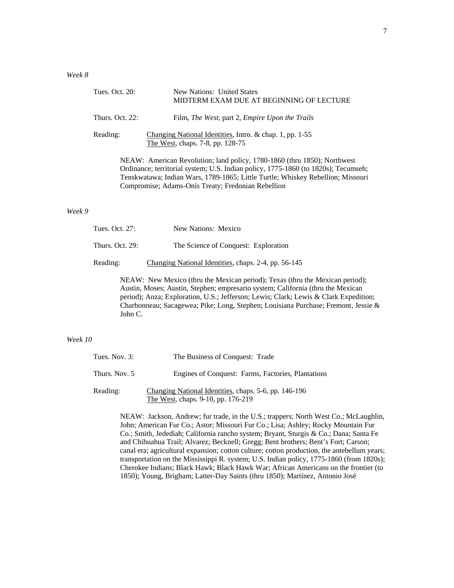| Tues. Oct. 20:         | New Nations: United States<br>MIDTERM EXAM DUE AT BEGINNING OF LECTURE                                                                            |
|------------------------|---------------------------------------------------------------------------------------------------------------------------------------------------|
| <b>Thurs. Oct. 22:</b> | Film, <i>The West</i> , part 2, <i>Empire Upon the Trails</i>                                                                                     |
| Reading:               | Changing National Identities, Intro. & chap. 1, pp. 1-55<br>The West, chaps. 7-8, pp. 128-75                                                      |
|                        | $\mathbf{M}$ , and $\mathbf{M}$ , and $\mathbf{M}$ , and $\mathbf{M}$ , and $\mathbf{M}$ , and $\mathbf{M}$ , and $\mathbf{M}$ , and $\mathbf{M}$ |

NEAW: American Revolution; land policy, 1780-1860 (thru 1850); Northwest Ordinance; territorial system; U.S. Indian policy, 1775-1860 (to 1820s); Tecumseh; Tenskwatawa; Indian Wars, 1789-1865; Little Turtle; Whiskey Rebellion; Missouri Compromise; Adams-Onís Treaty; Fredonian Rebellion

#### *Week 9*

| Tues. Oct. 27:  | New Nations: Mexico                                  |
|-----------------|------------------------------------------------------|
| Thurs. Oct. 29: | The Science of Conquest: Exploration                 |
| Reading:        | Changing National Identities, chaps. 2-4, pp. 56-145 |

NEAW: New Mexico (thru the Mexican period); Texas (thru the Mexican period); Austin, Moses; Austin, Stephen; empresario system; California (thru the Mexican period); Anza; Exploration, U.S.; Jefferson; Lewis; Clark; Lewis & Clark Expedition; Charbonneau; Sacagewea; Pike; Long, Stephen; Louisiana Purchase; Fremont, Jessie & John C.

#### *Week 10*

| Tues. Nov. $3:$ | The Business of Conquest: Trade                                                             |
|-----------------|---------------------------------------------------------------------------------------------|
| Thurs. Nov. 5   | Engines of Conquest: Farms, Factories, Plantations                                          |
| Reading:        | Changing National Identities, chaps. 5-6, pp. 146-196<br>The West, chaps. 9-10, pp. 176-219 |

NEAW: Jackson, Andrew; fur trade, in the U.S.; trappers; North West Co.; McLaughlin, John; American Fur Co.; Astor; Missouri Fur Co.; Lisa; Ashley; Rocky Mountain Fur Co.; Smith, Jedediah; California rancho system; Bryant, Sturgis & Co.; Dana; Santa Fe and Chihuahua Trail; Alvarez; Becknell; Gregg; Bent brothers; Bent's Fort; Carson; canal era; agricultural expansion; cotton culture; cotton production, the antebellum years; transportation on the Mississippi R. system; U.S. Indian policy, 1775-1860 (from 1820s); Cherokee Indians; Black Hawk; Black Hawk War; African Americans on the frontier (to 1850); Young, Brigham; Latter-Day Saints (thru 1850); Martínez, Antonio José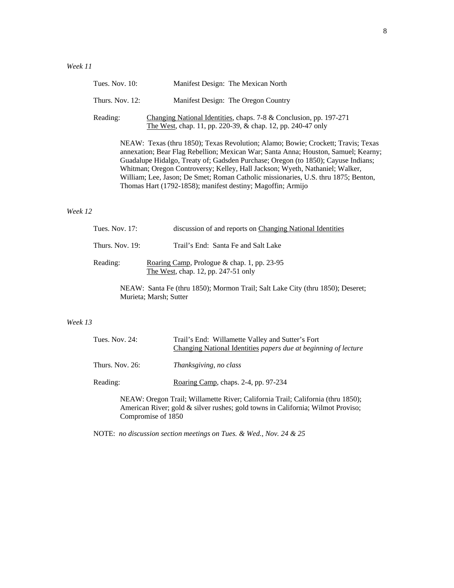|         | Tues. Nov. $10$ :                                                                                                                                                                                                                                                                                                                                                                                                                                                                                | Manifest Design: The Mexican North                                                                                                |  |  |  |
|---------|--------------------------------------------------------------------------------------------------------------------------------------------------------------------------------------------------------------------------------------------------------------------------------------------------------------------------------------------------------------------------------------------------------------------------------------------------------------------------------------------------|-----------------------------------------------------------------------------------------------------------------------------------|--|--|--|
|         | Thurs. Nov. 12:                                                                                                                                                                                                                                                                                                                                                                                                                                                                                  | Manifest Design: The Oregon Country                                                                                               |  |  |  |
|         | Reading:                                                                                                                                                                                                                                                                                                                                                                                                                                                                                         | Changing National Identities, chaps. 7-8 & Conclusion, pp. 197-271<br>The West, chap. 11, pp. 220-39, & chap. 12, pp. 240-47 only |  |  |  |
|         | NEAW: Texas (thru 1850); Texas Revolution; Alamo; Bowie; Crockett; Travis; Texas<br>annexation; Bear Flag Rebellion; Mexican War; Santa Anna; Houston, Samuel; Kearny;<br>Guadalupe Hidalgo, Treaty of; Gadsden Purchase; Oregon (to 1850); Cayuse Indians;<br>Whitman; Oregon Controversy; Kelley, Hall Jackson; Wyeth, Nathaniel; Walker,<br>William; Lee, Jason; De Smet; Roman Catholic missionaries, U.S. thru 1875; Benton,<br>Thomas Hart (1792-1858); manifest destiny; Magoffin; Armijo |                                                                                                                                   |  |  |  |
| Week 12 |                                                                                                                                                                                                                                                                                                                                                                                                                                                                                                  |                                                                                                                                   |  |  |  |
|         | Tues. Nov. 17:                                                                                                                                                                                                                                                                                                                                                                                                                                                                                   | discussion of and reports on Changing National Identities                                                                         |  |  |  |
|         | Thurs. Nov. 19:                                                                                                                                                                                                                                                                                                                                                                                                                                                                                  | Trail's End: Santa Fe and Salt Lake                                                                                               |  |  |  |

# Reading: Roaring Camp, Prologue & chap. 1, pp. 23-95 The West, chap. 12, pp. 247-51 only

NEAW: Santa Fe (thru 1850); Mormon Trail; Salt Lake City (thru 1850); Deseret; Murieta; Marsh; Sutter

## *Week 13*

| Tues. Nov. 24:                                                                                                                                                                           | Trail's End: Willamette Valley and Sutter's Fort<br>Changing National Identities papers due at beginning of lecture |  |
|------------------------------------------------------------------------------------------------------------------------------------------------------------------------------------------|---------------------------------------------------------------------------------------------------------------------|--|
| Thurs. Nov. $26$ :                                                                                                                                                                       | Thanksgiving, no class                                                                                              |  |
| Reading:                                                                                                                                                                                 | Roaring Camp, chaps. 2-4, pp. 97-234                                                                                |  |
| NEAW: Oregon Trail; Willamette River; California Trail; California (thru 1850);<br>American River; gold & silver rushes; gold towns in California; Wilmot Proviso;<br>Compromise of 1850 |                                                                                                                     |  |

NOTE: *no discussion section meetings on Tues. & Wed., Nov. 24 & 25*